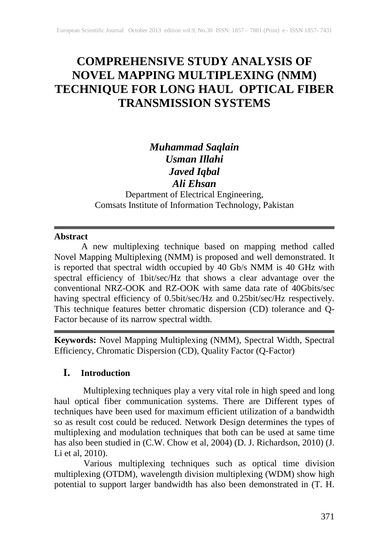# **COMPREHENSIVE STUDY ANALYSIS OF NOVEL MAPPING MULTIPLEXING (NMM) TECHNIQUE FOR LONG HAUL OPTICAL FIBER TRANSMISSION SYSTEMS**

## *Muhammad Saqlain Usman Illahi Javed Iqbal Ali Ehsan*

Department of Electrical Engineering, Comsats Institute of Information Technology, Pakistan

## **Abstract**

A new multiplexing technique based on mapping method called Novel Mapping Multiplexing (NMM) is proposed and well demonstrated. It is reported that spectral width occupied by 40 Gb/s NMM is 40 GHz with spectral efficiency of 1bit/sec/Hz that shows a clear advantage over the conventional NRZ-OOK and RZ-OOK with same data rate of 40Gbits/sec having spectral efficiency of 0.5bit/sec/Hz and 0.25bit/sec/Hz respectively. This technique features better chromatic dispersion (CD) tolerance and Q-Factor because of its narrow spectral width.

**Keywords:** Novel Mapping Multiplexing (NMM), Spectral Width, Spectral Efficiency, Chromatic Dispersion (CD), Quality Factor (Q-Factor)

## **I. Introduction**

 Multiplexing techniques play a very vital role in high speed and long haul optical fiber communication systems. There are Different types of techniques have been used for maximum efficient utilization of a bandwidth so as result cost could be reduced. Network Design determines the types of multiplexing and modulation techniques that both can be used at same time has also been studied in (C.W. Chow et al, 2004) (D. J. Richardson, 2010) (J. Li et al, 2010).

Various multiplexing techniques such as optical time division multiplexing (OTDM), wavelength division multiplexing (WDM) show high potential to support larger bandwidth has also been demonstrated in (T. H.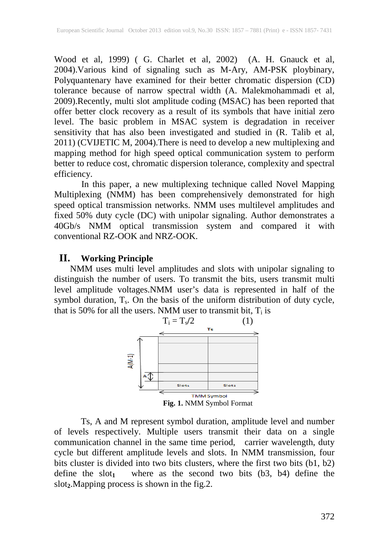Wood et al, 1999) ( G. Charlet et al, 2002) (A. H. Gnauck et al, 2004).Various kind of signaling such as M-Ary, AM-PSK ploybinary, Polyquantenary have examined for their better chromatic dispersion (CD) tolerance because of narrow spectral width (A. Malekmohammadi et al, 2009).Recently, multi slot amplitude coding (MSAC) has been reported that offer better clock recovery as a result of its symbols that have initial zero level. The basic problem in MSAC system is degradation in receiver sensitivity that has also been investigated and studied in (R. Talib et al, 2011) (CVIJETIC M, 2004).There is need to develop a new multiplexing and mapping method for high speed optical communication system to perform better to reduce cost, chromatic dispersion tolerance, complexity and spectral efficiency.

In this paper, a new multiplexing technique called Novel Mapping Multiplexing (NMM) has been comprehensively demonstrated for high speed optical transmission networks. NMM uses multilevel amplitudes and fixed 50% duty cycle (DC) with unipolar signaling. Author demonstrates a 40Gb/s NMM optical transmission system and compared it with conventional RZ-OOK and NRZ-OOK.

## **II. Working Principle**

NMM uses multi level amplitudes and slots with unipolar signaling to distinguish the number of users. To transmit the bits, users transmit multi level amplitude voltages.NMM user's data is represented in half of the symbol duration,  $T_s$ . On the basis of the uniform distribution of duty cycle, that is 50% for all the users. NMM user to transmit bit,  $T_i$  is



Ts, A and M represent symbol duration, amplitude level and number of levels respectively. Multiple users transmit their data on a single communication channel in the same time period, carrier wavelength, duty cycle but different amplitude levels and slots. In NMM transmission, four bits cluster is divided into two bits clusters, where the first two bits (b1, b2) define the slot<sub>1</sub> where as the second two bits  $(b3, b4)$  define the slot**2**.Mapping process is shown in the fig.2.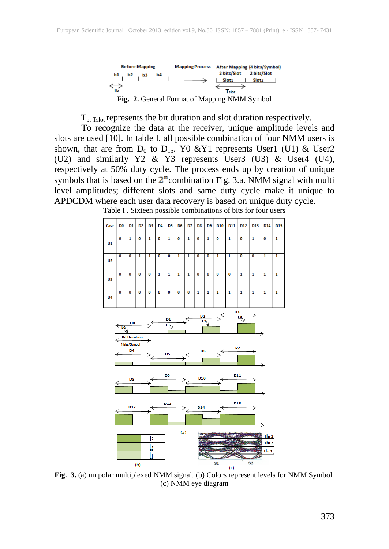

T<sub>b, Tslot</sub> represents the bit duration and slot duration respectively.

To recognize the data at the receiver, unique amplitude levels and slots are used [10]. In table I, all possible combination of four NMM users is shown, that are from  $D_0$  to  $D_{15}$ . Y0 &Y1 represents User1 (U1) & User2 (U2) and similarly Y2 & Y3 represents User3 (U3) & User4 (U4), respectively at 50% duty cycle. The process ends up by creation of unique symbols that is based on the  $2^n$  combination Fig. 3.a. NMM signal with multi level amplitudes; different slots and same duty cycle make it unique to APDCDM where each user data recovery is based on unique duty cycle.



Table I . Sixteen possible combinations of bits for four users

**Fig. 3.** (a) unipolar multiplexed NMM signal. (b) Colors represent levels for NMM Symbol. (c) NMM eye diagram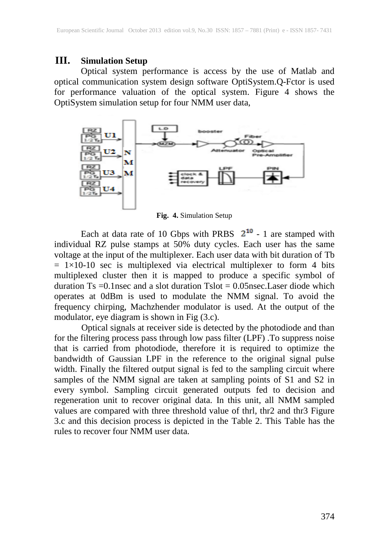#### **III. Simulation Setup**

Optical system performance is access by the use of Matlab and optical communication system design software OptiSystem.Q-Fctor is used for performance valuation of the optical system. Figure 4 shows the OptiSystem simulation setup for four NMM user data,



**Fig. 4.** Simulation Setup

Each at data rate of 10 Gbps with PRBS  $2^{10}$  - 1 are stamped with individual RZ pulse stamps at 50% duty cycles. Each user has the same voltage at the input of the multiplexer. Each user data with bit duration of Tb  $= 1 \times 10$ -10 sec is multiplexed via electrical multiplexer to form 4 bits multiplexed cluster then it is mapped to produce a specific symbol of duration Ts = 0.1 nsec and a slot duration Tslot =  $0.05$ nsec.Laser diode which operates at 0dBm is used to modulate the NMM signal. To avoid the frequency chirping, Machzhender modulator is used. At the output of the modulator, eye diagram is shown in Fig (3.c).

Optical signals at receiver side is detected by the photodiode and than for the filtering process pass through low pass filter (LPF) .To suppress noise that is carried from photodiode, therefore it is required to optimize the bandwidth of Gaussian LPF in the reference to the original signal pulse width. Finally the filtered output signal is fed to the sampling circuit where samples of the NMM signal are taken at sampling points of S1 and S2 in every symbol. Sampling circuit generated outputs fed to decision and regeneration unit to recover original data. In this unit, all NMM sampled values are compared with three threshold value of thrl, thr2 and thr3 Figure 3.c and this decision process is depicted in the Table 2. This Table has the rules to recover four NMM user data.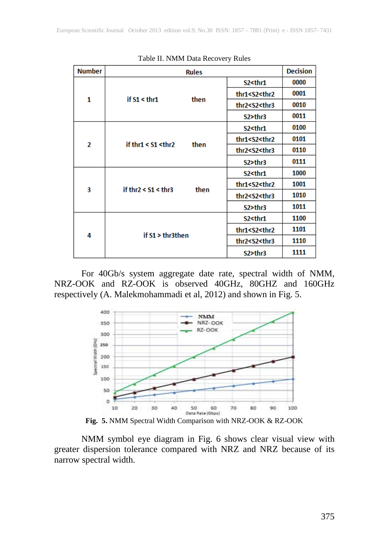| <b>Number</b>  | <b>Rules</b>                           |                                               | <b>Decision</b> |
|----------------|----------------------------------------|-----------------------------------------------|-----------------|
| 1              | if $S1 \leq thr1$<br>then              | $S2$ <thr1< td=""><td>0000</td></thr1<>       | 0000            |
|                |                                        | thr1 <s2<thr2< td=""><td>0001</td></s2<thr2<> | 0001            |
|                |                                        | thr2 <s2<thr3< td=""><td>0010</td></s2<thr3<> | 0010            |
|                |                                        | S2>thr3                                       | 0011            |
| $\overline{2}$ | if thr1 < $S1$ <thr2<br>then</thr2<br> | S2 <thr1< td=""><td>0100</td></thr1<>         | 0100            |
|                |                                        | thr1 <s2<thr2< td=""><td>0101</td></s2<thr2<> | 0101            |
|                |                                        | thr2 <s2<thr3< td=""><td>0110</td></s2<thr3<> | 0110            |
|                |                                        | S2>thr3                                       | 0111            |
| 3              | then<br>if thr2 < $S1$ < thr3          | S2 <thr1< td=""><td>1000</td></thr1<>         | 1000            |
|                |                                        | thr1 <s2<thr2< td=""><td>1001</td></s2<thr2<> | 1001            |
|                |                                        | thr2 <s2<thr3< td=""><td>1010</td></s2<thr3<> | 1010            |
|                |                                        | S2>thr3                                       | 1011            |
| 4              | if $S1$ > thr3then                     | S2 <thr1< td=""><td>1100</td></thr1<>         | 1100            |
|                |                                        | thr1 <s2<thr2< td=""><td>1101</td></s2<thr2<> | 1101            |
|                |                                        | thr2 <s2<thr3< td=""><td>1110</td></s2<thr3<> | 1110            |
|                |                                        | S2>thr3                                       | 1111            |

Table II. NMM Data Recovery Rules

For 40Gb/s system aggregate date rate, spectral width of NMM, NRZ-OOK and RZ-OOK is observed 40GHz, 80GHZ and 160GHz respectively (A. Malekmohammadi et al, 2012) and shown in Fig. 5.



**Fig. 5.** NMM Spectral Width Comparison with NRZ-OOK & RZ-OOK

NMM symbol eye diagram in Fig. 6 shows clear visual view with greater dispersion tolerance compared with NRZ and NRZ because of its narrow spectral width.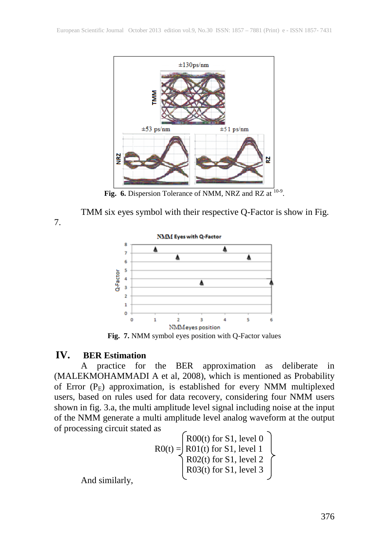

Fig. 6. Dispersion Tolerance of NMM, NRZ and RZ at <sup>10-9</sup>.

TMM six eyes symbol with their respective Q-Factor is show in Fig.

7.



**Fig. 7.** NMM symbol eyes position with Q-Factor values

### **IV. BER Estimation**

A practice for the BER approximation as deliberate in (MALEKMOHAMMADI A et al, 2008), which is mentioned as Probability of Error  $(P_E)$  approximation, is established for every NMM multiplexed users, based on rules used for data recovery, considering four NMM users shown in fig. 3.a, the multi amplitude level signal including noise at the input of the NMM generate a multi amplitude level analog waveform at the output of processing circuit stated as

$$
RO(t) = \begin{cases} R00(t) \text{ for S1, level 0} \\ R01(t) \text{ for S1, level 1} \\ R02(t) \text{ for S1, level 2} \\ R03(t) \text{ for S1, level 3} \end{cases}
$$

And similarly,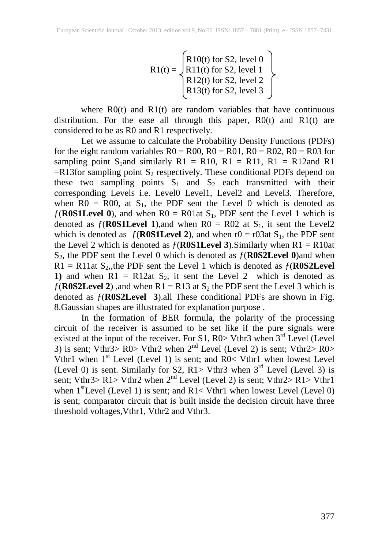$$
R1(t) = \begin{cases} R10(t) \text{ for S2, level 0} \\ R11(t) \text{ for S2, level 1} \\ R12(t) \text{ for S2, level 2} \\ R13(t) \text{ for S2, level 3} \end{cases}
$$

where  $R0(t)$  and  $R1(t)$  are random variables that have continuous distribution. For the ease all through this paper,  $R0(t)$  and  $R1(t)$  are considered to be as R0 and R1 respectively.

Let we assume to calculate the Probability Density Functions (PDFs) for the eight random variables  $R0 = R00$ ,  $R0 = R01$ ,  $R0 = R02$ ,  $R0 = R03$  for sampling point S<sub>1</sub>and similarly R1 = R10, R1 = R11, R1 = R12and R1  $=$ R13for sampling point S<sub>2</sub> respectively. These conditional PDFs depend on these two sampling points  $S_1$  and  $S_2$  each transmitted with their corresponding Levels i.e. Level0 Level1, Level2 and Level3. Therefore, when  $R0 = R00$ , at  $S_1$ , the PDF sent the Level 0 which is denoted as  $f(\text{R0S1Level 0})$ , and when R0 = R01at S<sub>1</sub>, PDF sent the Level 1 which is denoted as  $f(\text{ROS1Level 1})$ , and when R0 = R02 at S<sub>1</sub>, it sent the Level2 which is denoted as  $f(\text{ROS1Level 2})$ , and when  $r0 = r03$ at S<sub>1</sub>, the PDF sent the Level 2 which is denoted as  $f(\text{ROS1Level 3})$ . Similarly when  $R1 = R10$ at S2, the PDF sent the Level 0 which is denoted as ƒ(**R0S2Level 0**)and when  $R1 = R11$ at S<sub>2</sub>, the PDF sent the Level 1 which is denoted as  $f(R0S2L$ evel 1) and when  $R1 = R12at S_2$ , it sent the Level 2 which is denoted as  $f(\text{R0S2Level 2})$ , and when R1 = R13 at S<sub>2</sub> the PDF sent the Level 3 which is denoted as ƒ(**R0S2Level 3**).all These conditional PDFs are shown in Fig. 8.Gaussian shapes are illustrated for explanation purpose .

In the formation of BER formula, the polarity of the processing circuit of the receiver is assumed to be set like if the pure signals were existed at the input of the receiver. For  $S1$ ,  $R0$  Vthr3 when  $3<sup>rd</sup>$  Level (Level 3) is sent; Vthr $3$ > R0> Vthr2 when  $2<sup>nd</sup>$  Level (Level 2) is sent; Vthr $2$ > R0> Vthr1 when  $1<sup>st</sup>$  Level (Level 1) is sent; and R0< Vthr1 when lowest Level (Level 0) is sent. Similarly for S2, R1> Vthr3 when  $3<sup>rd</sup>$  Level (Level 3) is sent; Vthr3> R1> Vthr2 when  $2<sup>nd</sup>$  Level (Level 2) is sent; Vthr2> R1> Vthr1 when  $1<sup>st</sup>$  Level (Level 1) is sent; and R1< Vthr1 when lowest Level (Level 0) is sent; comparator circuit that is built inside the decision circuit have three threshold voltages,Vthr1, Vthr2 and Vthr3.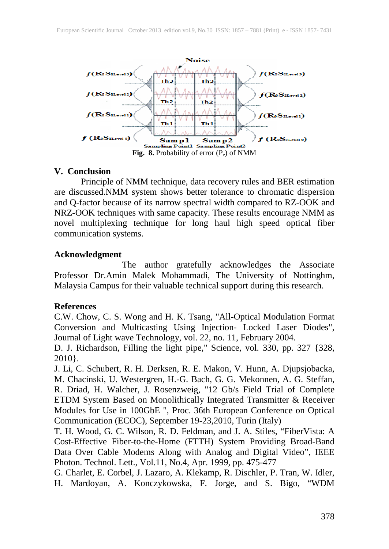

#### **V. Conclusion**

Principle of NMM technique, data recovery rules and BER estimation are discussed.NMM system shows better tolerance to chromatic dispersion and Q-factor because of its narrow spectral width compared to RZ-OOK and NRZ-OOK techniques with same capacity. These results encourage NMM as novel multiplexing technique for long haul high speed optical fiber communication systems.

#### **Acknowledgment**

The author gratefully acknowledges the Associate Professor Dr.Amin Malek Mohammadi, The University of Nottinghm, Malaysia Campus for their valuable technical support during this research.

#### **References**

C.W. Chow, C. S. Wong and H. K. Tsang, "All-Optical Modulation Format Conversion and Multicasting Using Injection- Locked Laser Diodes", Journal of Light wave Technology, vol. 22, no. 11, February 2004.

D. J. Richardson, Filling the light pipe," Science, vol. 330, pp. 327 {328, 2010}.

J. Li, C. Schubert, R. H. Derksen, R. E. Makon, V. Hunn, A. Djupsjobacka, M. Chacinski, U. Westergren, H.-G. Bach, G. G. Mekonnen, A. G. Steffan, R. Driad, H. Walcher, J. Rosenzweig, "12 Gb/s Field Trial of Complete ETDM System Based on Monolithically Integrated Transmitter & Receiver Modules for Use in 100GbE ", Proc. 36th European Conference on Optical Communication (ECOC), September 19-23,2010, Turin (Italy)

T. H. Wood, G. C. Wilson, R. D. Feldman, and J. A. Stiles, "FiberVista: A Cost-Effective Fiber-to-the-Home (FTTH) System Providing Broad-Band Data Over Cable Modems Along with Analog and Digital Video", IEEE Photon. Technol. Lett., Vol.11, No.4, Apr. 1999, pp. 475-477

G. Charlet, E. Corbel, J. Lazaro, A. Klekamp, R. Dischler, P. Tran, W. Idler, H. Mardoyan, A. Konczykowska, F. Jorge, and S. Bigo, "WDM